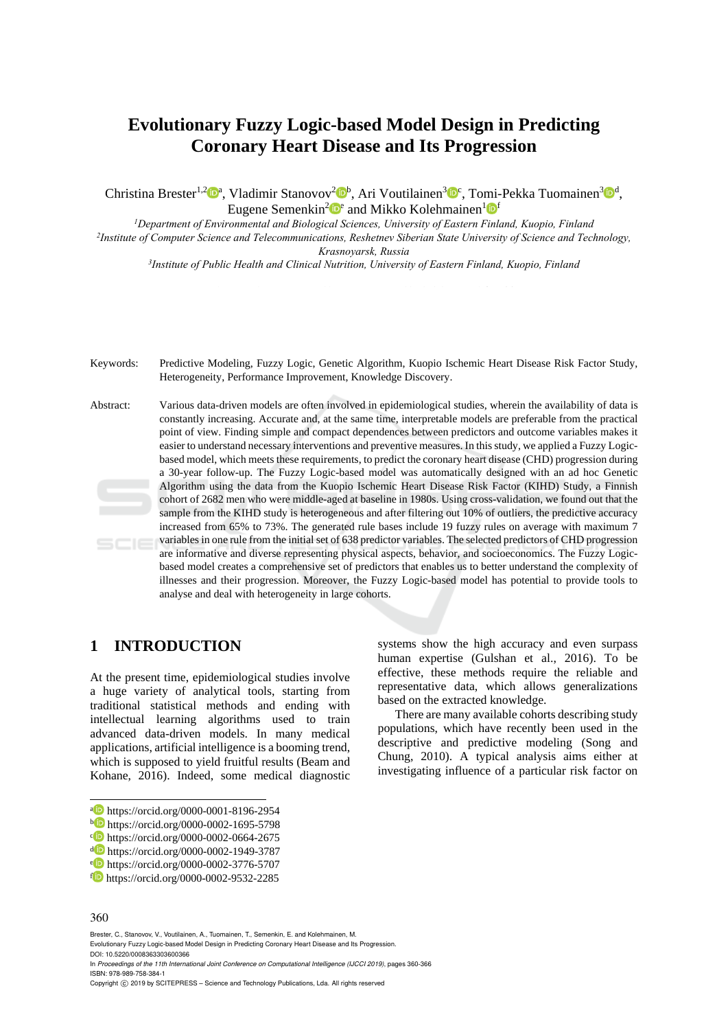# **Evolutionary Fuzzy Logic-based Model Design in Predicting Coronary Heart Disease and Its Progression**

Christina Brester<sup>1,2</sup> $\mathbb{D}^a$ , Vladimir Stanovov<sup>2</sup> $\mathbb{D}^b$ , Ari Voutilainen<sup>3</sup> $\mathbb{D}^c$ , Tomi-Pekka Tuomainen<sup>3</sup> $\mathbb{D}^d$ , Eugene Semenkin<sup>2</sup> D<sup>e</sup> and Mikko Kolehmainen<sup>1</sup> D<sup>f</sup><br><sup>1</sup>Department of Environmental and Biological Sciences. University of Eastern Finland. Kuopio. Finland<sup>1</sup>

<sup>2</sup>Institute of Computer Science and Telecommunications, Reshetney Siberian State University of Science and Technology, *Krasnoyarsk, Russia 3Institute of Public Health and Clinical Nutrition, University of Eastern Finland, Kuopio, Finland* 

Keywords: Predictive Modeling, Fuzzy Logic, Genetic Algorithm, Kuopio Ischemic Heart Disease Risk Factor Study, Heterogeneity, Performance Improvement, Knowledge Discovery.

Abstract: Various data-driven models are often involved in epidemiological studies, wherein the availability of data is constantly increasing. Accurate and, at the same time, interpretable models are preferable from the practical point of view. Finding simple and compact dependences between predictors and outcome variables makes it easier to understand necessary interventions and preventive measures. In this study, we applied a Fuzzy Logicbased model, which meets these requirements, to predict the coronary heart disease (CHD) progression during a 30-year follow-up. The Fuzzy Logic-based model was automatically designed with an ad hoc Genetic Algorithm using the data from the Kuopio Ischemic Heart Disease Risk Factor (KIHD) Study, a Finnish cohort of 2682 men who were middle-aged at baseline in 1980s. Using cross-validation, we found out that the sample from the KIHD study is heterogeneous and after filtering out 10% of outliers, the predictive accuracy increased from 65% to 73%. The generated rule bases include 19 fuzzy rules on average with maximum 7 variables in one rule from the initial set of 638 predictor variables. The selected predictors of CHD progression  $SCIE$ are informative and diverse representing physical aspects, behavior, and socioeconomics. The Fuzzy Logicbased model creates a comprehensive set of predictors that enables us to better understand the complexity of illnesses and their progression. Moreover, the Fuzzy Logic-based model has potential to provide tools to analyse and deal with heterogeneity in large cohorts.

## **1 INTRODUCTION**

At the present time, epidemiological studies involve a huge variety of analytical tools, starting from traditional statistical methods and ending with intellectual learning algorithms used to train advanced data-driven models. In many medical applications, artificial intelligence is a booming trend, which is supposed to yield fruitful results (Beam and Kohane, 2016). Indeed, some medical diagnostic

#### 360

Brester, C., Stanovov, V., Voutilainen, A., Tuomainen, T., Semenkin, E. and Kolehmainen, M.

Evolutionary Fuzzy Logic-based Model Design in Predicting Coronary Heart Disease and Its Progression. DOI: 10.5220/0008363303600366

In *Proceedings of the 11th International Joint Conference on Computational Intelligence (IJCCI 2019)*, pages 360-366 ISBN: 978-989-758-384-1

systems show the high accuracy and even surpass human expertise (Gulshan et al., 2016). To be effective, these methods require the reliable and representative data, which allows generalizations based on the extracted knowledge.

There are many available cohorts describing study populations, which have recently been used in the descriptive and predictive modeling (Song and Chung, 2010). A typical analysis aims either at investigating influence of a particular risk factor on

<sup>•</sup> https://orcid.org/0000-0001-8196-2954<br>
• https://orcid.org/0000-0002-1695-5798<br>
• https://orcid.org/0000-0002-0664-2675<br>
• https://orcid.org/0000-0002-1949-3787<br>
• https://orcid.org/0000-0002-3776-5707<br>
• https://orcid.o

Copyright © 2019 by SCITEPRESS - Science and Technology Publications, Lda. All rights reserved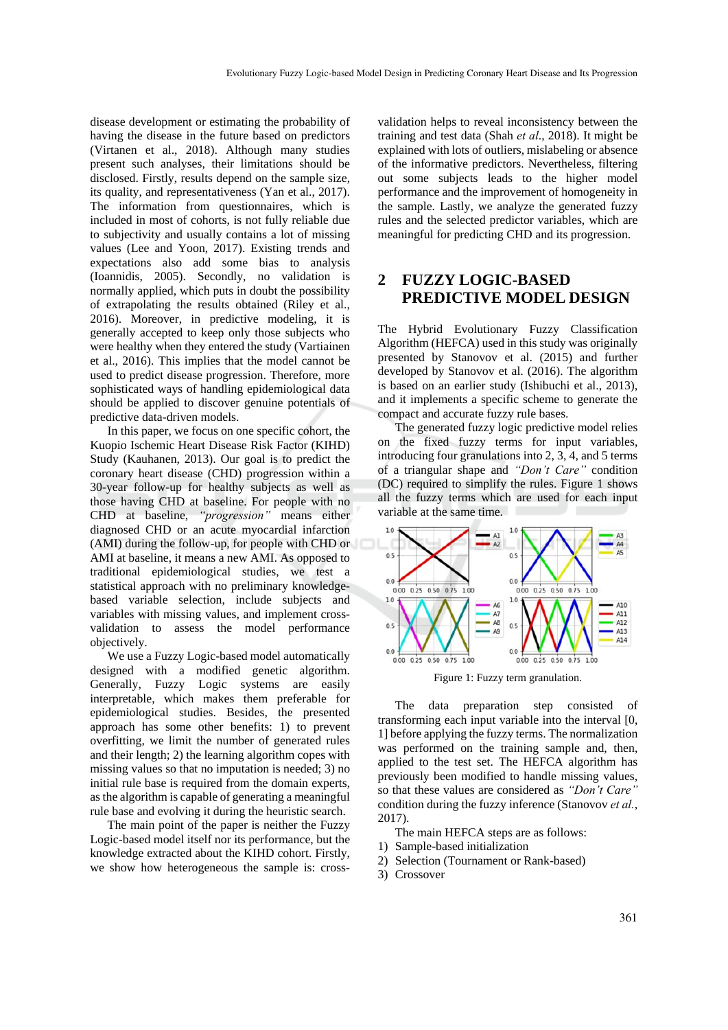disease development or estimating the probability of having the disease in the future based on predictors (Virtanen et al., 2018). Although many studies present such analyses, their limitations should be disclosed. Firstly, results depend on the sample size, its quality, and representativeness (Yan et al., 2017). The information from questionnaires, which is included in most of cohorts, is not fully reliable due to subjectivity and usually contains a lot of missing values (Lee and Yoon, 2017). Existing trends and expectations also add some bias to analysis (Ioannidis, 2005). Secondly, no validation is normally applied, which puts in doubt the possibility of extrapolating the results obtained (Riley et al., 2016). Moreover, in predictive modeling, it is generally accepted to keep only those subjects who were healthy when they entered the study (Vartiainen et al., 2016). This implies that the model cannot be used to predict disease progression. Therefore, more sophisticated ways of handling epidemiological data should be applied to discover genuine potentials of predictive data-driven models.

In this paper, we focus on one specific cohort, the Kuopio Ischemic Heart Disease Risk Factor (KIHD) Study (Kauhanen, 2013). Our goal is to predict the coronary heart disease (CHD) progression within a 30-year follow-up for healthy subjects as well as those having CHD at baseline. For people with no CHD at baseline, *"progression"* means either diagnosed CHD or an acute myocardial infarction (AMI) during the follow-up, for people with CHD or AMI at baseline, it means a new AMI. As opposed to traditional epidemiological studies, we test a statistical approach with no preliminary knowledgebased variable selection, include subjects and variables with missing values, and implement crossvalidation to assess the model performance objectively.

We use a Fuzzy Logic-based model automatically designed with a modified genetic algorithm. Generally, Fuzzy Logic systems are easily interpretable, which makes them preferable for epidemiological studies. Besides, the presented approach has some other benefits: 1) to prevent overfitting, we limit the number of generated rules and their length; 2) the learning algorithm copes with missing values so that no imputation is needed; 3) no initial rule base is required from the domain experts, as the algorithm is capable of generating a meaningful rule base and evolving it during the heuristic search.

The main point of the paper is neither the Fuzzy Logic-based model itself nor its performance, but the knowledge extracted about the KIHD cohort. Firstly, we show how heterogeneous the sample is: cross-

validation helps to reveal inconsistency between the training and test data (Shah *et al*., 2018). It might be explained with lots of outliers, mislabeling or absence of the informative predictors. Nevertheless, filtering out some subjects leads to the higher model performance and the improvement of homogeneity in the sample. Lastly, we analyze the generated fuzzy rules and the selected predictor variables, which are meaningful for predicting CHD and its progression.

## **2 FUZZY LOGIC-BASED PREDICTIVE MODEL DESIGN**

The Hybrid Evolutionary Fuzzy Classification Algorithm (HEFCA) used in this study was originally presented by Stanovov et al. (2015) and further developed by Stanovov et al. (2016). The algorithm is based on an earlier study (Ishibuchi et al., 2013), and it implements a specific scheme to generate the compact and accurate fuzzy rule bases.

The generated fuzzy logic predictive model relies on the fixed fuzzy terms for input variables, introducing four granulations into 2, 3, 4, and 5 terms of a triangular shape and *"Don't Care"* condition (DC) required to simplify the rules. Figure 1 shows all the fuzzy terms which are used for each input variable at the same time.



Figure 1: Fuzzy term granulation.

The data preparation step consisted of transforming each input variable into the interval [0, 1] before applying the fuzzy terms. The normalization was performed on the training sample and, then, applied to the test set. The HEFCA algorithm has previously been modified to handle missing values, so that these values are considered as *"Don't Care"* condition during the fuzzy inference (Stanovov *et al.*, 2017).

- The main HEFCA steps are as follows:
- 1) Sample-based initialization
- 2) Selection (Tournament or Rank-based)
- 3) Crossover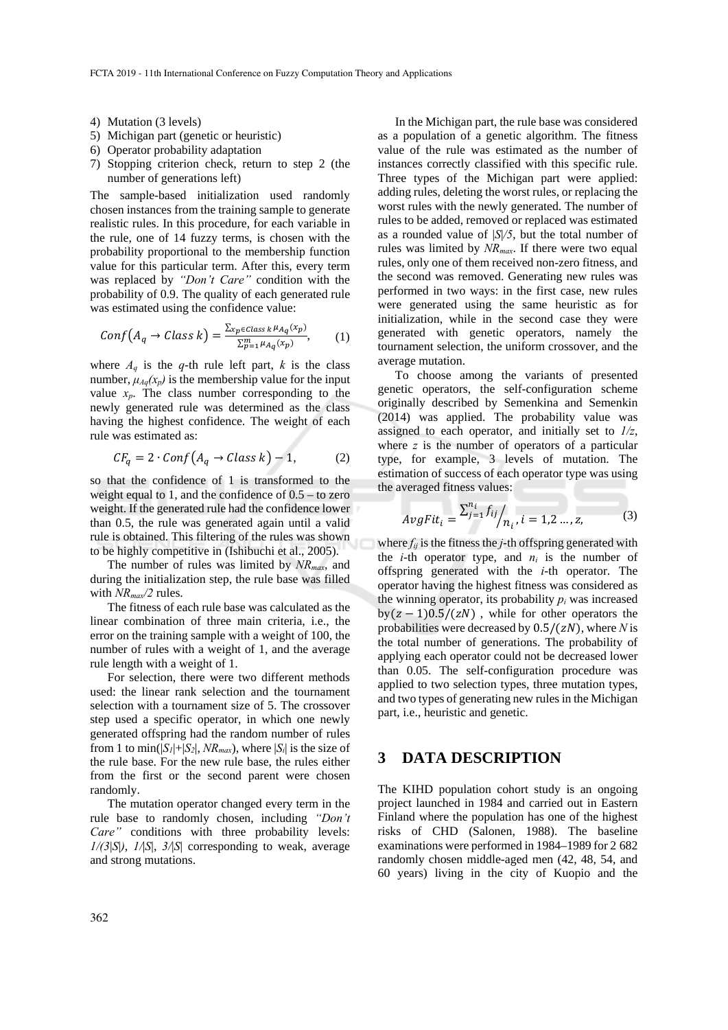- 4) Mutation (3 levels)
- 5) Michigan part (genetic or heuristic)
- 6) Operator probability adaptation
- 7) Stopping criterion check, return to step 2 (the number of generations left)

The sample-based initialization used randomly chosen instances from the training sample to generate realistic rules. In this procedure, for each variable in the rule, one of 14 fuzzy terms, is chosen with the probability proportional to the membership function value for this particular term. After this, every term was replaced by *"Don't Care"* condition with the probability of 0.9. The quality of each generated rule was estimated using the confidence value:

$$
Conf(A_q \to Class \, k) = \frac{\sum_{x_p \in Class \, k \, \mu_{A_q}(x_p)}}{\sum_{p=1}^m \mu_{A_q}(x_p)},\tag{1}
$$

where  $A_q$  is the *q*-th rule left part, *k* is the class number,  $\mu_{Aq}(x_p)$  is the membership value for the input value  $x_p$ . The class number corresponding to the newly generated rule was determined as the class having the highest confidence. The weight of each rule was estimated as:

$$
CF_q = 2 \cdot Conf(A_q \rightarrow Class \, k) - 1,\tag{2}
$$

so that the confidence of 1 is transformed to the weight equal to 1, and the confidence of  $0.5 -$  to zero weight. If the generated rule had the confidence lower than 0.5, the rule was generated again until a valid rule is obtained. This filtering of the rules was shown to be highly competitive in (Ishibuchi et al., 2005).

The number of rules was limited by *NRmax*, and during the initialization step, the rule base was filled with  $NR_{max}/2$  rules.

The fitness of each rule base was calculated as the linear combination of three main criteria, i.e., the error on the training sample with a weight of 100, the number of rules with a weight of 1, and the average rule length with a weight of 1.

For selection, there were two different methods used: the linear rank selection and the tournament selection with a tournament size of 5. The crossover step used a specific operator, in which one newly generated offspring had the random number of rules from 1 to min( $|S_1|+|S_2|$ ,  $NR_{max}$ ), where  $|S_i|$  is the size of the rule base. For the new rule base, the rules either from the first or the second parent were chosen randomly.

The mutation operator changed every term in the rule base to randomly chosen, including *"Don't Care"* conditions with three probability levels: *1/(3*|*S*|*)*, *1/*|*S*|, *3/*|*S*| corresponding to weak, average and strong mutations.

In the Michigan part, the rule base was considered as a population of a genetic algorithm. The fitness value of the rule was estimated as the number of instances correctly classified with this specific rule. Three types of the Michigan part were applied: adding rules, deleting the worst rules, or replacing the worst rules with the newly generated. The number of rules to be added, removed or replaced was estimated as a rounded value of |*S*|*/5*, but the total number of rules was limited by *NRmax*. If there were two equal rules, only one of them received non-zero fitness, and the second was removed. Generating new rules was performed in two ways: in the first case, new rules were generated using the same heuristic as for initialization, while in the second case they were generated with genetic operators, namely the tournament selection, the uniform crossover, and the average mutation.

To choose among the variants of presented genetic operators, the self-configuration scheme originally described by Semenkina and Semenkin (2014) was applied. The probability value was assigned to each operator, and initially set to *1/z*, where *z* is the number of operators of a particular type, for example, 3 levels of mutation. The estimation of success of each operator type was using the averaged fitness values:

$$
AvgFit_i = \frac{\sum_{j=1}^{n_i} f_{ij}}{n_i}, i = 1, 2 ..., z,
$$
 (3)

where  $f_{ij}$  is the fitness the *j*-th offspring generated with the *i*-th operator type, and  $n_i$  is the number of offspring generated with the *i*-th operator. The operator having the highest fitness was considered as the winning operator, its probability  $p_i$  was increased  $by (z - 1)0.5/(zN)$ , while for other operators the probabilities were decreased by  $0.5/(zN)$ , where *N* is the total number of generations. The probability of applying each operator could not be decreased lower than 0.05. The self-configuration procedure was applied to two selection types, three mutation types, and two types of generating new rules in the Michigan part, i.e., heuristic and genetic.

#### **3 DATA DESCRIPTION**

The KIHD population cohort study is an ongoing project launched in 1984 and carried out in Eastern Finland where the population has one of the highest risks of CHD (Salonen, 1988). The baseline examinations were performed in 1984–1989 for 2 682 randomly chosen middle-aged men (42, 48, 54, and 60 years) living in the city of Kuopio and the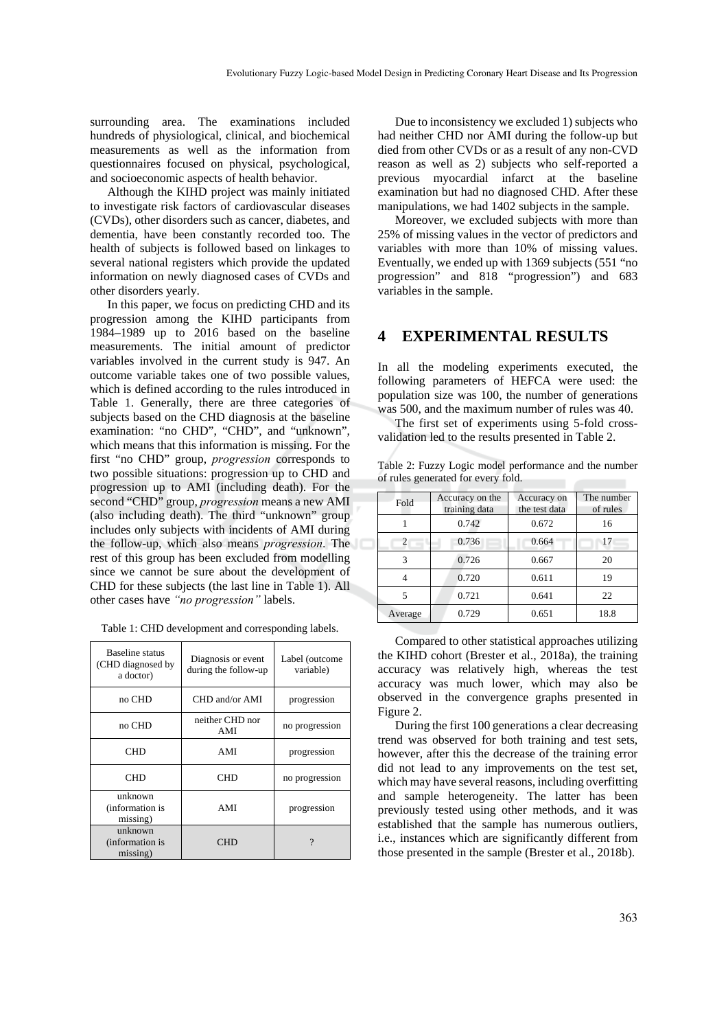surrounding area. The examinations included hundreds of physiological, clinical, and biochemical measurements as well as the information from questionnaires focused on physical, psychological, and socioeconomic aspects of health behavior.

Although the KIHD project was mainly initiated to investigate risk factors of cardiovascular diseases (CVDs), other disorders such as cancer, diabetes, and dementia, have been constantly recorded too. The health of subjects is followed based on linkages to several national registers which provide the updated information on newly diagnosed cases of CVDs and other disorders yearly.

In this paper, we focus on predicting CHD and its progression among the KIHD participants from 1984–1989 up to 2016 based on the baseline measurements. The initial amount of predictor variables involved in the current study is 947. An outcome variable takes one of two possible values, which is defined according to the rules introduced in Table 1. Generally, there are three categories of subjects based on the CHD diagnosis at the baseline examination: "no CHD", "CHD", and "unknown", which means that this information is missing. For the first "no CHD" group, *progression* corresponds to two possible situations: progression up to CHD and progression up to AMI (including death). For the second "CHD" group, *progression* means a new AMI (also including death). The third "unknown" group includes only subjects with incidents of AMI during the follow-up, which also means *progression*. The rest of this group has been excluded from modelling since we cannot be sure about the development of CHD for these subjects (the last line in Table 1). All other cases have *"no progression"* labels.

| Table 1: CHD development and corresponding labels. |  |  |  |  |
|----------------------------------------------------|--|--|--|--|
|----------------------------------------------------|--|--|--|--|

| Baseline status<br>(CHD diagnosed by<br>a doctor) | Diagnosis or event<br>during the follow-up | Label (outcome<br>variable) |
|---------------------------------------------------|--------------------------------------------|-----------------------------|
| no CHD                                            | CHD and/or AMI                             | progression                 |
| no CHD                                            | neither CHD nor<br>no progression<br>AMI   |                             |
| CHD                                               | AMI                                        | progression                 |
| CHD                                               | CHD                                        | no progression              |
| unknown<br>(information is<br>missing)            | AMI                                        | progression                 |
| unknown<br>(information is<br>missing)            | CHD                                        |                             |

Due to inconsistency we excluded 1) subjects who had neither CHD nor AMI during the follow-up but died from other CVDs or as a result of any non-CVD reason as well as 2) subjects who self-reported a previous myocardial infarct at the baseline examination but had no diagnosed CHD. After these manipulations, we had 1402 subjects in the sample.

Moreover, we excluded subjects with more than 25% of missing values in the vector of predictors and variables with more than 10% of missing values. Eventually, we ended up with 1369 subjects (551 "no progression" and 818 "progression") and 683 variables in the sample.

#### **4 EXPERIMENTAL RESULTS**

In all the modeling experiments executed, the following parameters of HEFCA were used: the population size was 100, the number of generations was 500, and the maximum number of rules was 40.

The first set of experiments using 5-fold crossvalidation led to the results presented in Table 2.

Table 2: Fuzzy Logic model performance and the number of rules generated for every fold.

| Fold    | Accuracy on the<br>training data | Accuracy on<br>the test data | The number<br>of rules |
|---------|----------------------------------|------------------------------|------------------------|
|         | 0.742                            | 0.672                        | 16                     |
| 2       | 0.736                            | 0.664                        | 17                     |
| 3       | 0.726                            | 0.667                        | 20                     |
|         | 0.720                            | 0.611                        | 19                     |
| 5       | 0.721                            | 0.641                        | 22                     |
| Average | 0.729                            | 0.651                        | 18.8                   |

Compared to other statistical approaches utilizing the KIHD cohort (Brester et al., 2018a), the training accuracy was relatively high, whereas the test accuracy was much lower, which may also be observed in the convergence graphs presented in Figure 2. During the first 100 generations a clear decreasing

trend was observed for both training and test sets, however, after this the decrease of the training error did not lead to any improvements on the test set, which may have several reasons, including overfitting and sample heterogeneity. The latter has been previously tested using other methods, and it was established that the sample has numerous outliers, i.e., instances which are significantly different from those presented in the sample (Brester et al., 2018b).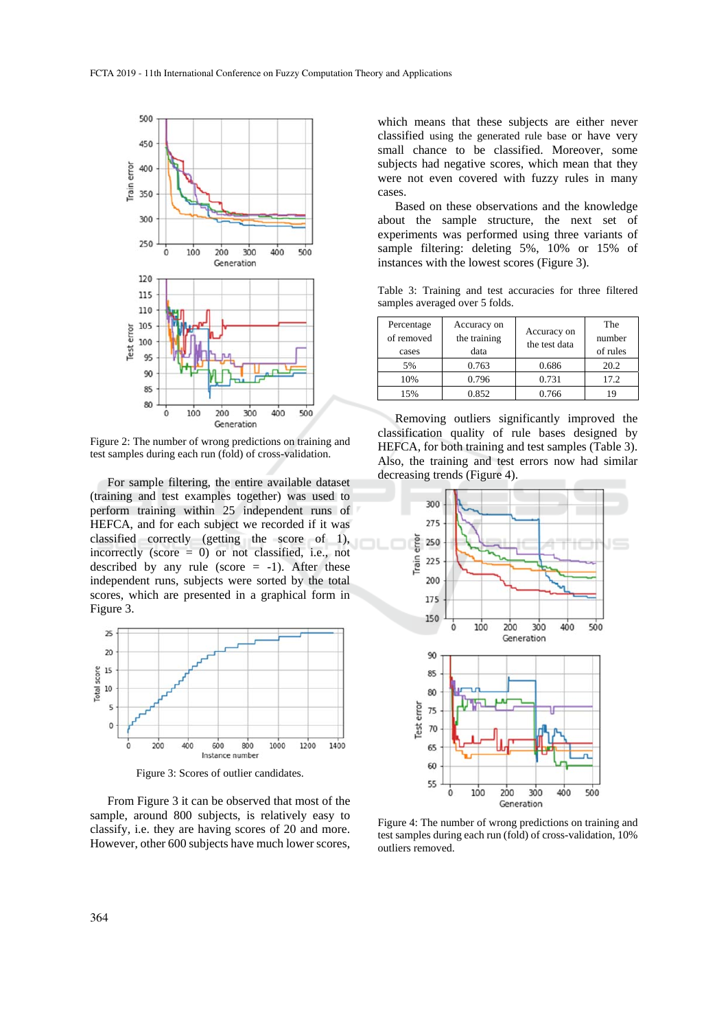

Figure 2: The number of wrong predictions on training and test samples during each run (fold) of cross-validation.

For sample filtering, the entire available dataset (training and test examples together) was used to perform training within 25 independent runs of HEFCA, and for each subject we recorded if it was classified correctly (getting the score of 1), incorrectly (score = 0) or not classified, i.e., not described by any rule (score  $= -1$ ). After these independent runs, subjects were sorted by the total scores, which are presented in a graphical form in Figure 3.



Figure 3: Scores of outlier candidates.

From Figure 3 it can be observed that most of the sample, around 800 subjects, is relatively easy to classify, i.e. they are having scores of 20 and more. However, other 600 subjects have much lower scores,

which means that these subjects are either never classified using the generated rule base or have very small chance to be classified. Moreover, some subjects had negative scores, which mean that they were not even covered with fuzzy rules in many cases.

Based on these observations and the knowledge about the sample structure, the next set of experiments was performed using three variants of sample filtering: deleting 5%, 10% or 15% of instances with the lowest scores (Figure 3).

Table 3: Training and test accuracies for three filtered samples averaged over 5 folds.

| Percentage<br>of removed<br>cases | Accuracy on<br>the training<br>data | Accuracy on<br>the test data | The<br>number<br>of rules |
|-----------------------------------|-------------------------------------|------------------------------|---------------------------|
| 5%                                | 0.763                               | 0.686                        | 20.2                      |
| 10%                               | 0.796                               | 0.731                        | 17.2                      |
| 15%                               | 0.852                               | 0.766                        |                           |

Removing outliers significantly improved the classification quality of rule bases designed by HEFCA, for both training and test samples (Table 3). Also, the training and test errors now had similar decreasing trends (Figure 4).



Figure 4: The number of wrong predictions on training and test samples during each run (fold) of cross-validation, 10% outliers removed.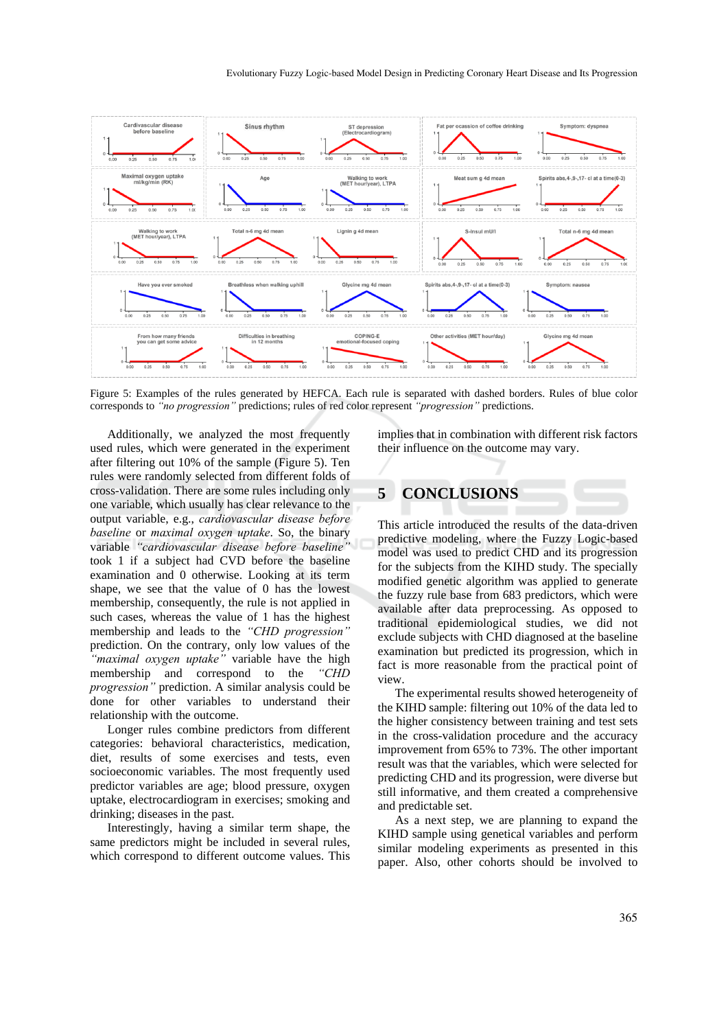

Figure 5: Examples of the rules generated by HEFCA. Each rule is separated with dashed borders. Rules of blue color corresponds to *"no progression"* predictions; rules of red color represent *"progression"* predictions.

Additionally, we analyzed the most frequently used rules, which were generated in the experiment after filtering out 10% of the sample (Figure 5). Ten rules were randomly selected from different folds of cross-validation. There are some rules including only one variable, which usually has clear relevance to the output variable, e.g., *cardiovascular disease before baseline* or *maximal oxygen uptake*. So, the binary variable *"cardiovascular disease before baseline"* took 1 if a subject had CVD before the baseline examination and 0 otherwise. Looking at its term shape, we see that the value of 0 has the lowest membership, consequently, the rule is not applied in such cases, whereas the value of 1 has the highest membership and leads to the *"CHD progression"* prediction. On the contrary, only low values of the *"maximal oxygen uptake"* variable have the high membership and correspond to the *"CHD progression"* prediction. A similar analysis could be done for other variables to understand their relationship with the outcome.

Longer rules combine predictors from different categories: behavioral characteristics, medication, diet, results of some exercises and tests, even socioeconomic variables. The most frequently used predictor variables are age; blood pressure, oxygen uptake, electrocardiogram in exercises; smoking and drinking; diseases in the past.

Interestingly, having a similar term shape, the same predictors might be included in several rules, which correspond to different outcome values. This implies that in combination with different risk factors their influence on the outcome may vary.

### **5 CONCLUSIONS**

This article introduced the results of the data-driven predictive modeling, where the Fuzzy Logic-based model was used to predict CHD and its progression for the subjects from the KIHD study. The specially modified genetic algorithm was applied to generate the fuzzy rule base from 683 predictors, which were available after data preprocessing. As opposed to traditional epidemiological studies, we did not exclude subjects with CHD diagnosed at the baseline examination but predicted its progression, which in fact is more reasonable from the practical point of view.

The experimental results showed heterogeneity of the KIHD sample: filtering out 10% of the data led to the higher consistency between training and test sets in the cross-validation procedure and the accuracy improvement from 65% to 73%. The other important result was that the variables, which were selected for predicting CHD and its progression, were diverse but still informative, and them created a comprehensive and predictable set.

As a next step, we are planning to expand the KIHD sample using genetical variables and perform similar modeling experiments as presented in this paper. Also, other cohorts should be involved to